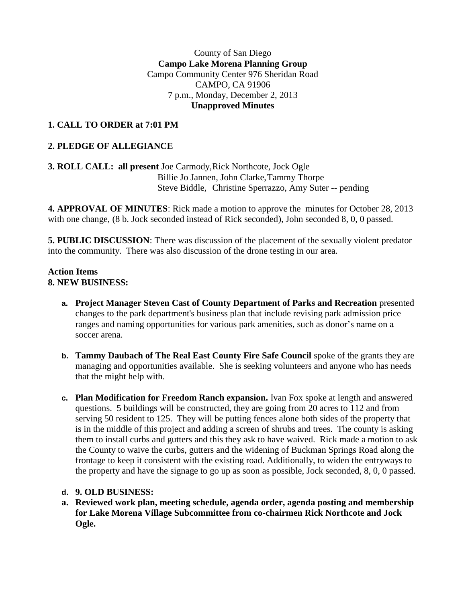#### County of San Diego **Campo Lake Morena Planning Group** Campo Community Center 976 Sheridan Road CAMPO, CA 91906 7 p.m., Monday, December 2, 2013 **Unapproved Minutes**

# **1. CALL TO ORDER at 7:01 PM**

## **2. PLEDGE OF ALLEGIANCE**

## **3. ROLL CALL: all present** Joe Carmody,Rick Northcote, Jock Ogle Billie Jo Jannen, John Clarke,Tammy Thorpe Steve Biddle, Christine Sperrazzo, Amy Suter -- pending

**4. APPROVAL OF MINUTES**: Rick made a motion to approve the minutes for October 28, 2013 with one change, (8 b. Jock seconded instead of Rick seconded), John seconded 8, 0, 0 passed.

**5. PUBLIC DISCUSSION**: There was discussion of the placement of the sexually violent predator into the community. There was also discussion of the drone testing in our area.

#### **Action Items 8. NEW BUSINESS:**

- **a. Project Manager Steven Cast of County Department of Parks and Recreation** presented changes to the park department's business plan that include revising park admission price ranges and naming opportunities for various park amenities, such as donor's name on a soccer arena.
- **b. Tammy Daubach of The Real East County Fire Safe Council** spoke of the grants they are managing and opportunities available. She is seeking volunteers and anyone who has needs that the might help with.
- **c. Plan Modification for Freedom Ranch expansion.** Ivan Fox spoke at length and answered questions. 5 buildings will be constructed, they are going from 20 acres to 112 and from serving 50 resident to 125. They will be putting fences alone both sides of the property that is in the middle of this project and adding a screen of shrubs and trees. The county is asking them to install curbs and gutters and this they ask to have waived. Rick made a motion to ask the County to waive the curbs, gutters and the widening of Buckman Springs Road along the frontage to keep it consistent with the existing road. Additionally, to widen the entryways to the property and have the signage to go up as soon as possible, Jock seconded, 8, 0, 0 passed.

## **d. 9. OLD BUSINESS:**

**a. Reviewed work plan, meeting schedule, agenda order, agenda posting and membership for Lake Morena Village Subcommittee from co-chairmen Rick Northcote and Jock Ogle.**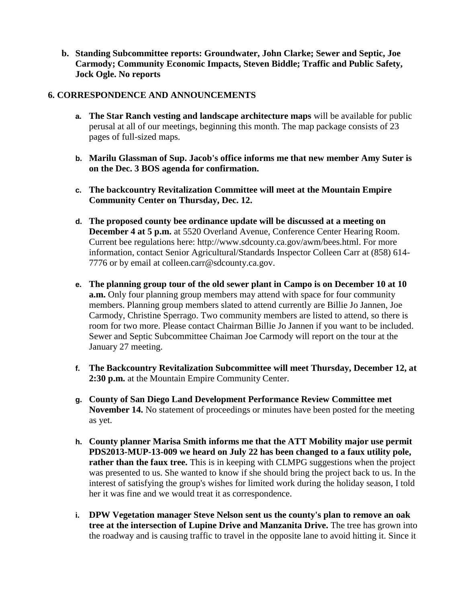**b. Standing Subcommittee reports: Groundwater, John Clarke; Sewer and Septic, Joe Carmody; Community Economic Impacts, Steven Biddle; Traffic and Public Safety, Jock Ogle. No reports**

#### **6. CORRESPONDENCE AND ANNOUNCEMENTS**

- **a. The Star Ranch vesting and landscape architecture maps** will be available for public perusal at all of our meetings, beginning this month. The map package consists of 23 pages of full-sized maps.
- **b. Marilu Glassman of Sup. Jacob's office informs me that new member Amy Suter is on the Dec. 3 BOS agenda for confirmation.**
- **c. The backcountry Revitalization Committee will meet at the Mountain Empire Community Center on Thursday, Dec. 12.**
- **d. The proposed county bee ordinance update will be discussed at a meeting on December 4 at 5 p.m.** at 5520 Overland Avenue, Conference Center Hearing Room. Current bee regulations here: http://www.sdcounty.ca.gov/awm/bees.html. For more information, contact Senior Agricultural/Standards Inspector Colleen Carr at (858) 614- 7776 or by email at colleen.carr@sdcounty.ca.gov.
- **e. The planning group tour of the old sewer plant in Campo is on December 10 at 10 a.m.** Only four planning group members may attend with space for four community members. Planning group members slated to attend currently are Billie Jo Jannen, Joe Carmody, Christine Sperrago. Two community members are listed to attend, so there is room for two more. Please contact Chairman Billie Jo Jannen if you want to be included. Sewer and Septic Subcommittee Chaiman Joe Carmody will report on the tour at the January 27 meeting.
- **f. The Backcountry Revitalization Subcommittee will meet Thursday, December 12, at 2:30 p.m.** at the Mountain Empire Community Center.
- **g. County of San Diego Land Development Performance Review Committee met November 14.** No statement of proceedings or minutes have been posted for the meeting as yet.
- **h. County planner Marisa Smith informs me that the ATT Mobility major use permit PDS2013-MUP-13-009 we heard on July 22 has been changed to a faux utility pole, rather than the faux tree.** This is in keeping with CLMPG suggestions when the project was presented to us. She wanted to know if she should bring the project back to us. In the interest of satisfying the group's wishes for limited work during the holiday season, I told her it was fine and we would treat it as correspondence.
- **i. DPW Vegetation manager Steve Nelson sent us the county's plan to remove an oak tree at the intersection of Lupine Drive and Manzanita Drive.** The tree has grown into the roadway and is causing traffic to travel in the opposite lane to avoid hitting it. Since it